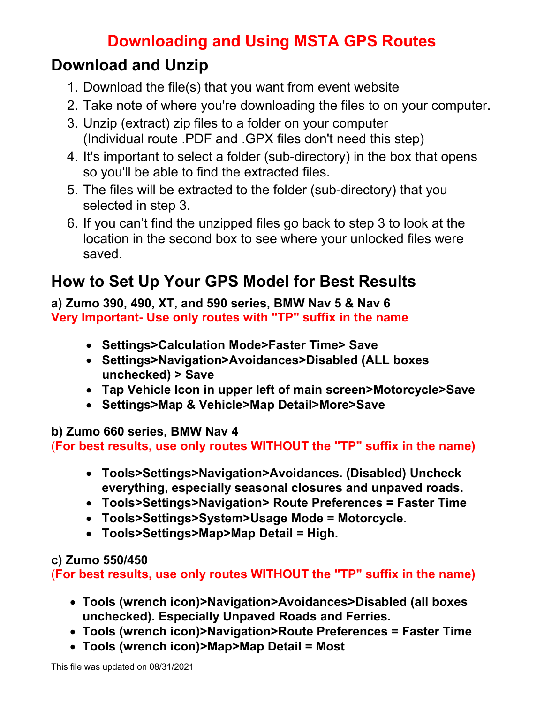## **Downloading and Using MSTA GPS Routes**

### **Download and Unzip**

- 1. Download the file(s) that you want from event website
- 2. Take note of where you're downloading the files to on your computer.
- 3. Unzip (extract) zip files to a folder on your computer (Individual route .PDF and .GPX files don't need this step)
- 4. It's important to select a folder (sub-directory) in the box that opens so you'll be able to find the extracted files.
- 5. The files will be extracted to the folder (sub-directory) that you selected in step 3.
- 6. If you can't find the unzipped files go back to step 3 to look at the location in the second box to see where your unlocked files were saved.

# **How to Set Up Your GPS Model for Best Results**

#### **a) Zumo 390, 490, XT, and 590 series, BMW Nav 5 & Nav 6 Very Important- Use only routes with "TP" suffix in the name**

- **Settings>Calculation Mode>Faster Time> Save**
- **Settings>Navigation>Avoidances>Disabled (ALL boxes unchecked) > Save**
- **Tap Vehicle Icon in upper left of main screen>Motorcycle>Save**
- **Settings>Map & Vehicle>Map Detail>More>Save**

#### **b) Zumo 660 series, BMW Nav 4**

(**For best results, use only routes WITHOUT the "TP" suffix in the name)**

- **Tools>Settings>Navigation>Avoidances. (Disabled) Uncheck everything, especially seasonal closures and unpaved roads.**
- **Tools>Settings>Navigation> Route Preferences = Faster Time**
- **Tools>Settings>System>Usage Mode = Motorcycle**.
- **Tools>Settings>Map>Map Detail = High.**

### **c) Zumo 550/450**

(**For best results, use only routes WITHOUT the "TP" suffix in the name)**

- **Tools (wrench icon)>Navigation>Avoidances>Disabled (all boxes unchecked). Especially Unpaved Roads and Ferries.**
- **Tools (wrench icon)>Navigation>Route Preferences = Faster Time**
- **Tools (wrench icon)>Map>Map Detail = Most**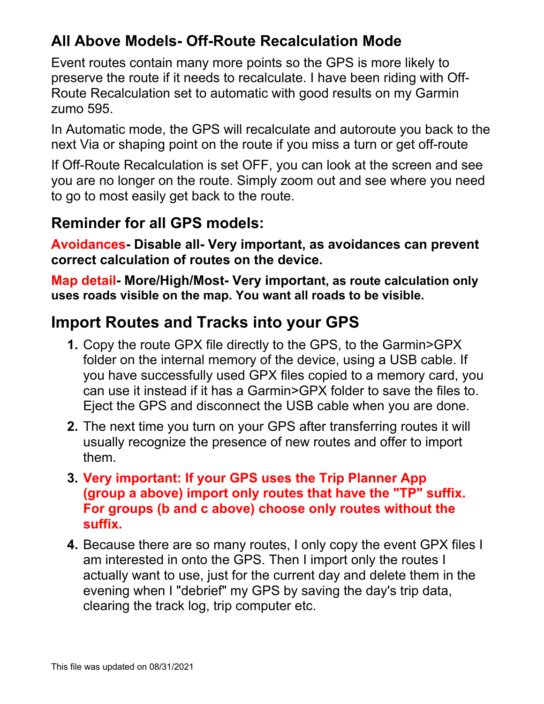### **All Above Models- Off-Route Recalculation Mode**

Event routes contain many more points so the GPS is more likely to preserve the route if it needs to recalculate. I have been riding with Off-Route Recalculation set to automatic with good results on my Garmin zumo 595.

In Automatic mode, the GPS will recalculate and autoroute you back to the next Via or shaping point on the route if you miss a turn or get off-route

If Off-Route Recalculation is set OFF, you can look at the screen and see you are no longer on the route. Simply zoom out and see where you need to go to most easily get back to the route.

### **Reminder for all GPS models:**

**Avoidances- Disable all- Very important, as avoidances can prevent correct calculation of routes on the device.** 

**Map detail- More/High/Most- Very important, as route calculation only uses roads visible on the map. You want all roads to be visible.**

## **Import Routes and Tracks into your GPS**

- **1.** Copy the route GPX file directly to the GPS, to the Garmin>GPX folder on the internal memory of the device, using a USB cable. If you have successfully used GPX files copied to a memory card, you can use it instead if it has a Garmin>GPX folder to save the files to. Eject the GPS and disconnect the USB cable when you are done.
- **2.** The next time you turn on your GPS after transferring routes it will usually recognize the presence of new routes and offer to import them.
- **3. Very important: If your GPS uses the Trip Planner App (group a above) import only routes that have the "TP" suffix. For groups (b and c above) choose only routes without the suffix.**
- **4.** Because there are so many routes, I only copy the event GPX files I am interested in onto the GPS. Then I import only the routes I actually want to use, just for the current day and delete them in the evening when I "debrief" my GPS by saving the day's trip data, clearing the track log, trip computer etc.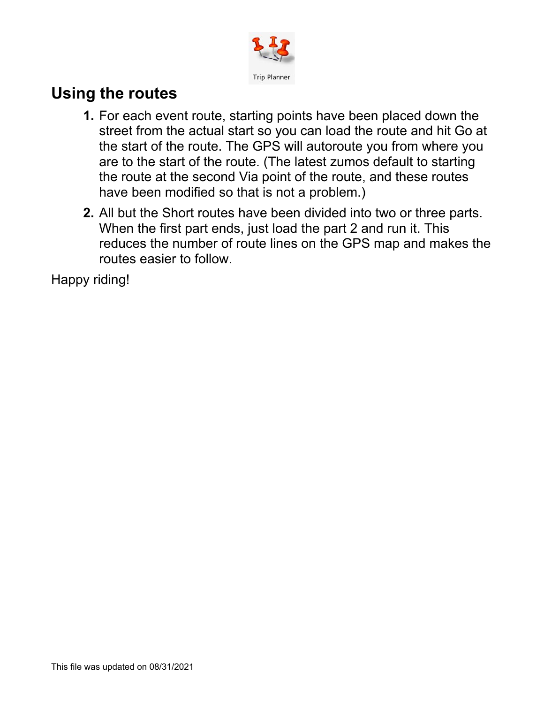

## **Using the routes**

- **1.** For each event route, starting points have been placed down the street from the actual start so you can load the route and hit Go at the start of the route. The GPS will autoroute you from where you are to the start of the route. (The latest zumos default to starting the route at the second Via point of the route, and these routes have been modified so that is not a problem.)
- **2.** All but the Short routes have been divided into two or three parts. When the first part ends, just load the part 2 and run it. This reduces the number of route lines on the GPS map and makes the routes easier to follow.

Happy riding!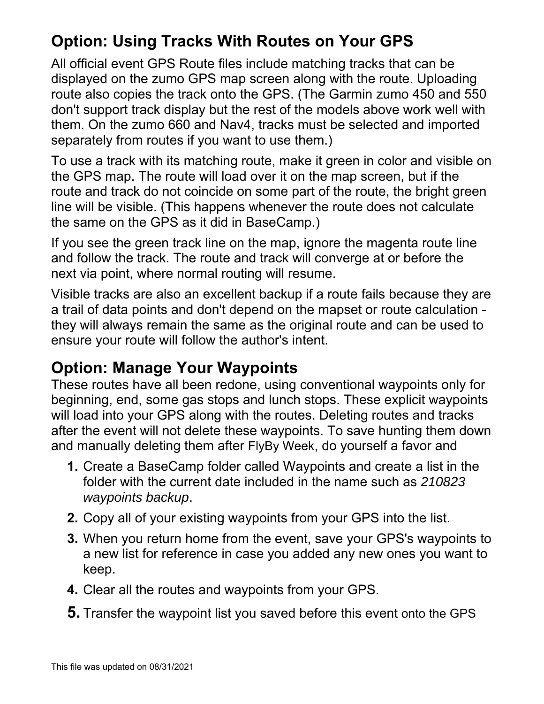# **Option: Using Tracks With Routes on Your GPS**

All official event GPS Route files include matching tracks that can be displayed on the zumo GPS map screen along with the route. Uploading route also copies the track onto the GPS. (The Garmin zumo 450 and 550 don't support track display but the rest of the models above work well with them. On the zumo 660 and Nav4, tracks must be selected and imported separately from routes if you want to use them.)

To use a track with its matching route, make it green in color and visible on the GPS map. The route will load over it on the map screen, but if the route and track do not coincide on some part of the route, the bright green line will be visible. (This happens whenever the route does not calculate the same on the GPS as it did in BaseCamp.)

If you see the green track line on the map, ignore the magenta route line and follow the track. The route and track will converge at or before the next via point, where normal routing will resume.

Visible tracks are also an excellent backup if a route fails because they are a trail of data points and don't depend on the mapset or route calculation they will always remain the same as the original route and can be used to ensure your route will follow the author's intent.

### **Option: Manage Your Waypoints**

These routes have all been redone, using conventional waypoints only for beginning, end, some gas stops and lunch stops. These explicit waypoints will load into your GPS along with the routes. Deleting routes and tracks after the event will not delete these waypoints. To save hunting them down and manually deleting them after FlyBy Week, do yourself a favor and

- **1.** Create a BaseCamp folder called Waypoints and create a list in the folder with the current date included in the name such as *210823 waypoints backup*.
- **2.** Copy all of your existing waypoints from your GPS into the list.
- **3.** When you return home from the event, save your GPS's waypoints to a new list for reference in case you added any new ones you want to keep.
- **4.** Clear all the routes and waypoints from your GPS.
- **5.** Transfer the waypoint list you saved before this event onto the GPS